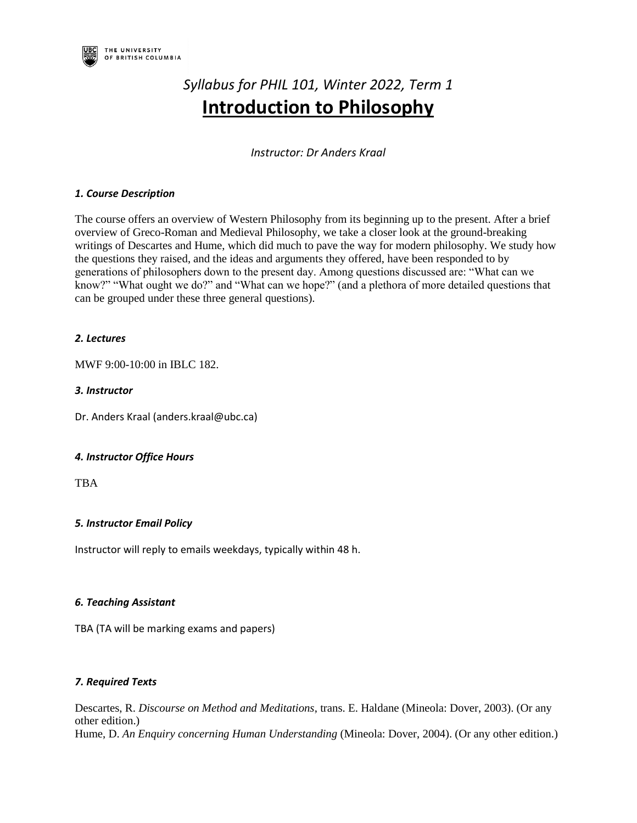

# *Syllabus for PHIL 101, Winter 2022, Term 1* **Introduction to Philosophy**

*Instructor: Dr Anders Kraal*

## *1. Course Description*

The course offers an overview of Western Philosophy from its beginning up to the present. After a brief overview of Greco-Roman and Medieval Philosophy, we take a closer look at the ground-breaking writings of Descartes and Hume, which did much to pave the way for modern philosophy. We study how the questions they raised, and the ideas and arguments they offered, have been responded to by generations of philosophers down to the present day. Among questions discussed are: "What can we know?" "What ought we do?" and "What can we hope?" (and a plethora of more detailed questions that can be grouped under these three general questions).

## *2. Lectures*

MWF 9:00-10:00 in IBLC 182.

## *3. Instructor*

Dr. Anders Kraal (anders.kraal@ubc.ca)

# *4. Instructor Office Hours*

TBA

# *5. Instructor Email Policy*

Instructor will reply to emails weekdays, typically within 48 h.

## *6. Teaching Assistant*

TBA (TA will be marking exams and papers)

## *7. Required Texts*

Descartes, R. *Discourse on Method and Meditations*, trans. E. Haldane (Mineola: Dover, 2003). (Or any other edition.) Hume, D. *An Enquiry concerning Human Understanding* (Mineola: Dover, 2004). (Or any other edition.)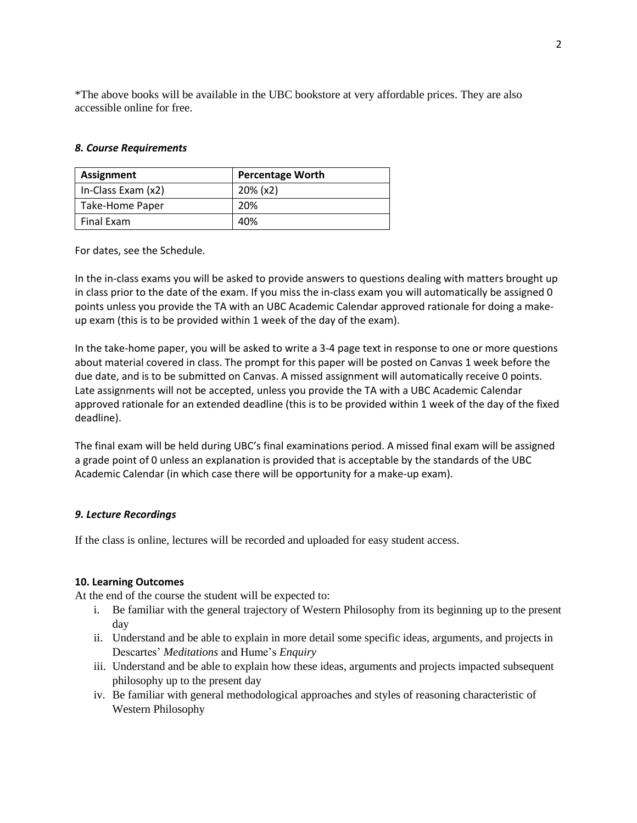\*The above books will be available in the UBC bookstore at very affordable prices. They are also accessible online for free.

#### *8. Course Requirements*

| Assignment         | <b>Percentage Worth</b> |  |  |
|--------------------|-------------------------|--|--|
| In-Class Exam (x2) | $20\%$ (x2)             |  |  |
| Take-Home Paper    | 20%                     |  |  |
| Final Exam         | 40%                     |  |  |

For dates, see the Schedule.

In the in-class exams you will be asked to provide answers to questions dealing with matters brought up in class prior to the date of the exam. If you miss the in-class exam you will automatically be assigned 0 points unless you provide the TA with an UBC Academic Calendar approved rationale for doing a makeup exam (this is to be provided within 1 week of the day of the exam).

In the take-home paper, you will be asked to write a 3-4 page text in response to one or more questions about material covered in class. The prompt for this paper will be posted on Canvas 1 week before the due date, and is to be submitted on Canvas. A missed assignment will automatically receive 0 points. Late assignments will not be accepted, unless you provide the TA with a UBC Academic Calendar approved rationale for an extended deadline (this is to be provided within 1 week of the day of the fixed deadline).

The final exam will be held during UBC's final examinations period. A missed final exam will be assigned a grade point of 0 unless an explanation is provided that is acceptable by the standards of the UBC Academic Calendar (in which case there will be opportunity for a make-up exam).

## *9. Lecture Recordings*

If the class is online, lectures will be recorded and uploaded for easy student access.

#### **10. Learning Outcomes**

At the end of the course the student will be expected to:

- i. Be familiar with the general trajectory of Western Philosophy from its beginning up to the present day
- ii. Understand and be able to explain in more detail some specific ideas, arguments, and projects in Descartes' *Meditations* and Hume's *Enquiry*
- iii. Understand and be able to explain how these ideas, arguments and projects impacted subsequent philosophy up to the present day
- iv. Be familiar with general methodological approaches and styles of reasoning characteristic of Western Philosophy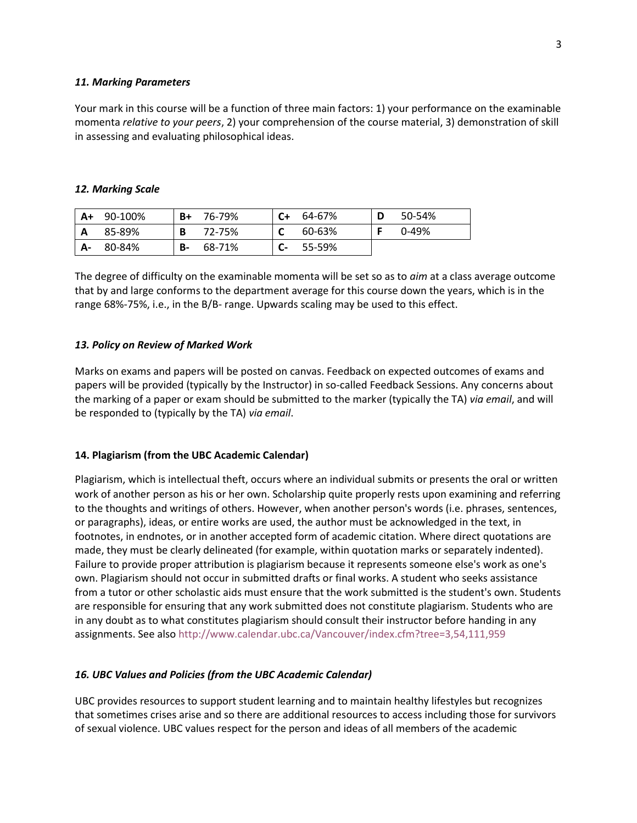#### *11. Marking Parameters*

Your mark in this course will be a function of three main factors: 1) your performance on the examinable momenta *relative to your peers*, 2) your comprehension of the course material, 3) demonstration of skill in assessing and evaluating philosophical ideas.

## *12. Marking Scale*

| A+ | 90-100% | B+ | 76-79% | C+   | 64-67% | D | 50-54% |
|----|---------|----|--------|------|--------|---|--------|
| A  | 85-89%  | B  | 72-75% |      | 60-63% |   | 0-49%  |
| А- | 80-84%  | В- | 68-71% | $C-$ | 55-59% |   |        |

The degree of difficulty on the examinable momenta will be set so as to *aim* at a class average outcome that by and large conforms to the department average for this course down the years, which is in the range 68%-75%, i.e., in the B/B- range. Upwards scaling may be used to this effect.

#### *13. Policy on Review of Marked Work*

Marks on exams and papers will be posted on canvas. Feedback on expected outcomes of exams and papers will be provided (typically by the Instructor) in so-called Feedback Sessions. Any concerns about the marking of a paper or exam should be submitted to the marker (typically the TA) *via email*, and will be responded to (typically by the TA) *via email*.

#### **14. Plagiarism (from the UBC Academic Calendar)**

Plagiarism, which is intellectual theft, occurs where an individual submits or presents the oral or written work of another person as his or her own. Scholarship quite properly rests upon examining and referring to the thoughts and writings of others. However, when another person's words (i.e. phrases, sentences, or paragraphs), ideas, or entire works are used, the author must be acknowledged in the text, in footnotes, in endnotes, or in another accepted form of academic citation. Where direct quotations are made, they must be clearly delineated (for example, within quotation marks or separately indented). Failure to provide proper attribution is plagiarism because it represents someone else's work as one's own. Plagiarism should not occur in submitted drafts or final works. A student who seeks assistance from a tutor or other scholastic aids must ensure that the work submitted is the student's own. Students are responsible for ensuring that any work submitted does not constitute plagiarism. Students who are in any doubt as to what constitutes plagiarism should consult their instructor before handing in any assignments. See als[o http://www.calendar.ubc.ca/Vancouver/index.cfm?tree=3,54,111,959](https://www.mail.ubc.ca/owa/redir.aspx?C=B-3ptwWTfR4VwFHemOMTx2sBIif-5klVD5WEO5CvwtMuOtEW5tLTCA..&URL=http%3a%2f%2fwww.calendar.ubc.ca%2fVancouver%2findex.cfm%3ftree%3d3%2c54%2c111%2c959)

## *16. UBC Values and Policies (from the UBC Academic Calendar)*

UBC provides resources to support student learning and to maintain healthy lifestyles but recognizes that sometimes crises arise and so there are additional resources to access including those for survivors of sexual violence. UBC values respect for the person and ideas of all members of the academic